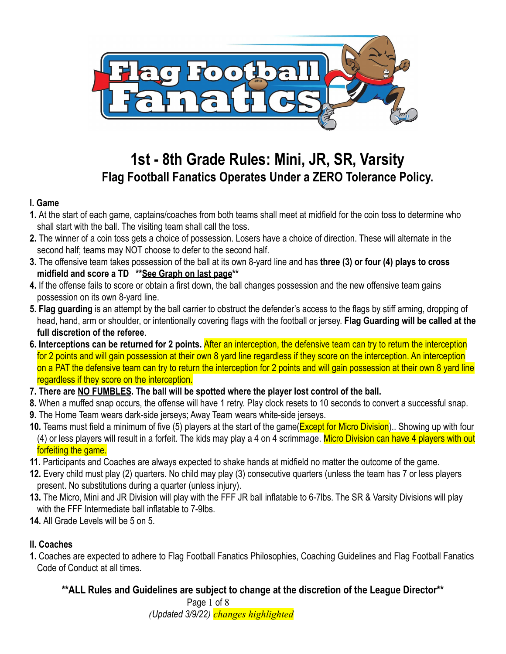

# **1st - 8th Grade Rules: Mini, JR, SR, Varsity Flag Football Fanatics Operates Under a ZERO Tolerance Policy.**

### **I. Game**

- **1.** At the start of each game, captains/coaches from both teams shall meet at midfield for the coin toss to determine who shall start with the ball. The visiting team shall call the toss.
- **2.** The winner of a coin toss gets a choice of possession. Losers have a choice of direction. These will alternate in the second half; teams may NOT choose to defer to the second half.
- **3.** The offensive team takes possession of the ball at its own 8-yard line and has **three (3) or four (4) plays to cross midfield and score a TD \*\*See Graph on last page\*\***
- **4.** If the offense fails to score or obtain a first down, the ball changes possession and the new offensive team gains possession on its own 8-yard line.
- **5. Flag guarding** is an attempt by the ball carrier to obstruct the defender's access to the flags by stiff arming, dropping of head, hand, arm or shoulder, or intentionally covering flags with the football or jersey. **Flag Guarding will be called at the full discretion of the referee**.
- **6. Interceptions can be returned for 2 points.** After an interception, the defensive team can try to return the interception for 2 points and will gain possession at their own 8 yard line regardless if they score on the interception. An interception on a PAT the defensive team can try to return the interception for 2 points and will gain possession at their own 8 yard line regardless if they score on the interception.
- **7. There are NO FUMBLES. The ball will be spotted where the player lost control of the ball.**
- **8.** When a muffed snap occurs, the offense will have 1 retry. Play clock resets to 10 seconds to convert a successful snap.
- **9.** The Home Team wears dark-side jerseys; Away Team wears white-side jerseys.
- **10.** Teams must field a minimum of five (5) players at the start of the game(Except for Micro Division).. Showing up with four (4) or less players will result in a forfeit. The kids may play a 4 on 4 scrimmage. Micro Division can have 4 players with out forfeiting the game.
- **11.** Participants and Coaches are always expected to shake hands at midfield no matter the outcome of the game.
- **12.** Every child must play (2) quarters. No child may play (3) consecutive quarters (unless the team has 7 or less players present. No substitutions during a quarter (unless injury).
- **13.** The Micro, Mini and JR Division will play with the FFF JR ball inflatable to 6-7lbs. The SR & Varsity Divisions will play with the FFF Intermediate ball inflatable to 7-9lbs.
- **14.** All Grade Levels will be 5 on 5.

# **II. Coaches**

**1.** Coaches are expected to adhere to Flag Football Fanatics Philosophies, Coaching Guidelines and Flag Football Fanatics Code of Conduct at all times.

# **\*\*ALL Rules and Guidelines are subject to change at the discretion of the League Director\*\***

Page 1 of 8 *(Updated 3/9/22) changes highlighted*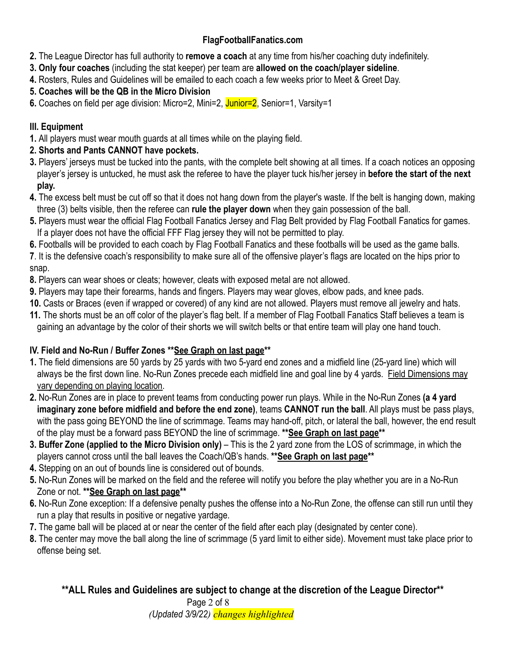- **2.** The League Director has full authority to **remove a coach** at any time from his/her coaching duty indefinitely.
- **3. Only four coaches** (including the stat keeper) per team are **allowed on the coach/player sideline**.
- **4.** Rosters, Rules and Guidelines will be emailed to each coach a few weeks prior to Meet & Greet Day.
- **5. Coaches will be the QB in the Micro Division**
- **6.** Coaches on field per age division: Micro=2, Mini=2, Junior=2, Senior=1, Varsity=1

# **III. Equipment**

**1.** All players must wear mouth guards at all times while on the playing field.

# **2. Shorts and Pants CANNOT have pockets.**

- **3.** Players' jerseys must be tucked into the pants, with the complete belt showing at all times. If a coach notices an opposing player's jersey is untucked, he must ask the referee to have the player tuck his/her jersey in **before the start of the next play.**
- **4.** The excess belt must be cut off so that it does not hang down from the player's waste. If the belt is hanging down, making three (3) belts visible, then the referee can **rule the player down** when they gain possession of the ball.
- **5.** Players must wear the official Flag Football Fanatics Jersey and Flag Belt provided by Flag Football Fanatics for games. If a player does not have the official FFF Flag jersey they will not be permitted to play.
- **6.** Footballs will be provided to each coach by Flag Football Fanatics and these footballs will be used as the game balls.

**7**. It is the defensive coach's responsibility to make sure all of the offensive player's flags are located on the hips prior to snap.

- **8.** Players can wear shoes or cleats; however, cleats with exposed metal are not allowed.
- **9.** Players may tape their forearms, hands and fingers. Players may wear gloves, elbow pads, and knee pads.
- **10.** Casts or Braces (even if wrapped or covered) of any kind are not allowed. Players must remove all jewelry and hats.
- **11.** The shorts must be an off color of the player's flag belt. If a member of Flag Football Fanatics Staff believes a team is gaining an advantage by the color of their shorts we will switch belts or that entire team will play one hand touch.

# **IV. Field and No-Run / Buffer Zones \*\*See Graph on last page\*\***

- **1.** The field dimensions are 50 yards by 25 yards with two 5-yard end zones and a midfield line (25-yard line) which will always be the first down line. No-Run Zones precede each midfield line and goal line by 4 yards. Field Dimensions may vary depending on playing location.
- **2.** No-Run Zones are in place to prevent teams from conducting power run plays. While in the No-Run Zones **(a 4 yard imaginary zone before midfield and before the end zone)**, teams **CANNOT run the ball**. All plays must be pass plays, with the pass going BEYOND the line of scrimmage. Teams may hand-off, pitch, or lateral the ball, however, the end result of the play must be a forward pass BEYOND the line of scrimmage. **\*\*See Graph on last page\*\***
- **3. Buffer Zone (applied to the Micro Division only)** This is the 2 yard zone from the LOS of scrimmage, in which the players cannot cross until the ball leaves the Coach/QB's hands. **\*\*See Graph on last page\*\***
- **4.** Stepping on an out of bounds line is considered out of bounds.
- **5.** No-Run Zones will be marked on the field and the referee will notify you before the play whether you are in a No-Run Zone or not. **\*\*See Graph on last page\*\***
- **6.** No-Run Zone exception: If a defensive penalty pushes the offense into a No-Run Zone, the offense can still run until they run a play that results in positive or negative yardage.
- **7.** The game ball will be placed at or near the center of the field after each play (designated by center cone).
- **8.** The center may move the ball along the line of scrimmage (5 yard limit to either side). Movement must take place prior to offense being set.

**\*\*ALL Rules and Guidelines are subject to change at the discretion of the League Director\*\*** Page 2 of 8 *(Updated 3/9/22) changes highlighted*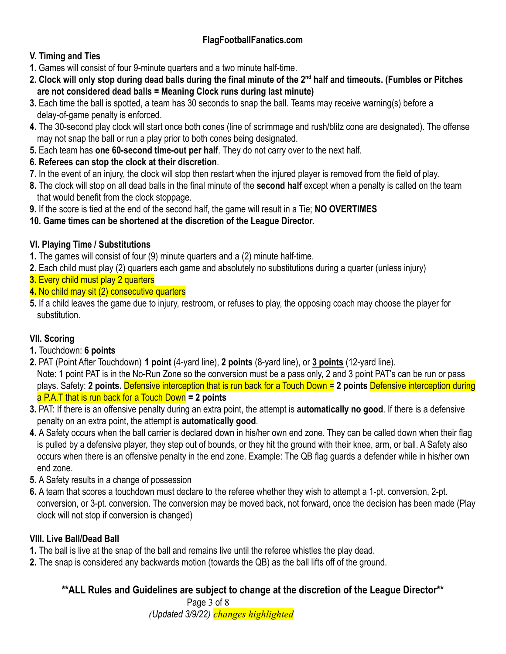#### **V. Timing and Ties**

- **1.** Games will consist of four 9-minute quarters and a two minute half-time.
- **2. Clock will only stop during dead balls during the final minute of the 2nd half and timeouts. (Fumbles or Pitches are not considered dead balls = Meaning Clock runs during last minute)**
- **3.** Each time the ball is spotted, a team has 30 seconds to snap the ball. Teams may receive warning(s) before a delay-of-game penalty is enforced.
- **4.** The 30-second play clock will start once both cones (line of scrimmage and rush/blitz cone are designated). The offense may not snap the ball or run a play prior to both cones being designated.
- **5.** Each team has **one 60-second time-out per half**. They do not carry over to the next half.
- **6. Referees can stop the clock at their discretion**.
- **7.** In the event of an injury, the clock will stop then restart when the injured player is removed from the field of play.
- **8.** The clock will stop on all dead balls in the final minute of the **second half** except when a penalty is called on the team that would benefit from the clock stoppage.
- **9.** If the score is tied at the end of the second half, the game will result in a Tie; **NO OVERTIMES**
- **10. Game times can be shortened at the discretion of the League Director.**

### **VI. Playing Time / Substitutions**

- **1.** The games will consist of four (9) minute quarters and a (2) minute half-time.
- **2.** Each child must play (2) quarters each game and absolutely no substitutions during a quarter (unless injury)
- **3.** Every child must play 2 quarters
- **4.** No child may sit (2) consecutive quarters
- **5.** If a child leaves the game due to injury, restroom, or refuses to play, the opposing coach may choose the player for substitution.

# **VII. Scoring**

- **1.** Touchdown: **6 points**
- **2.** PAT (Point After Touchdown) **1 point** (4-yard line), **2 points** (8-yard line), or **3 points** (12-yard line). Note: 1 point PAT is in the No-Run Zone so the conversion must be a pass only, 2 and 3 point PAT's can be run or pass plays. Safety: **2 points.** Defensive interception that is run back for a Touch Down = **2 points** Defensive interception during a P.A.T that is run back for a Touch Down **= 2 points**
- **3.** PAT: If there is an offensive penalty during an extra point, the attempt is **automatically no good**. If there is a defensive penalty on an extra point, the attempt is **automatically good**.
- **4.** A Safety occurs when the ball carrier is declared down in his/her own end zone. They can be called down when their flag is pulled by a defensive player, they step out of bounds, or they hit the ground with their knee, arm, or ball. A Safety also occurs when there is an offensive penalty in the end zone. Example: The QB flag guards a defender while in his/her own end zone.
- **5.** A Safety results in a change of possession
- **6.** A team that scores a touchdown must declare to the referee whether they wish to attempt a 1-pt. conversion, 2-pt. conversion, or 3-pt. conversion. The conversion may be moved back, not forward, once the decision has been made (Play clock will not stop if conversion is changed)

### **VIII. Live Ball/Dead Ball**

- **1.** The ball is live at the snap of the ball and remains live until the referee whistles the play dead.
- **2.** The snap is considered any backwards motion (towards the QB) as the ball lifts off of the ground.

### **\*\*ALL Rules and Guidelines are subject to change at the discretion of the League Director\*\***

Page 3 of 8 *(Updated 3/9/22) changes highlighted*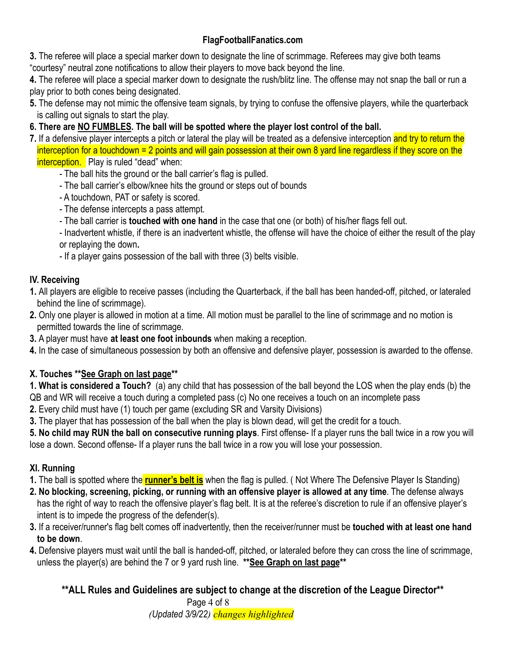**3.** The referee will place a special marker down to designate the line of scrimmage. Referees may give both teams "courtesy" neutral zone notifications to allow their players to move back beyond the line.

**4.** The referee will place a special marker down to designate the rush/blitz line. The offense may not snap the ball or run a play prior to both cones being designated.

- **5.** The defense may not mimic the offensive team signals, by trying to confuse the offensive players, while the quarterback is calling out signals to start the play.
- **6. There are NO FUMBLES. The ball will be spotted where the player lost control of the ball.**
- **7.** If a defensive player intercepts a pitch or lateral the play will be treated as a defensive interception and try to return the interception for a touchdown = 2 points and will gain possession at their own 8 yard line regardless if they score on the interception. Play is ruled "dead" when:
	- The ball hits the ground or the ball carrier's flag is pulled.
	- The ball carrier's elbow/knee hits the ground or steps out of bounds
	- A touchdown, PAT or safety is scored.
	- The defense intercepts a pass attempt.
	- The ball carrier is **touched with one hand** in the case that one (or both) of his/her flags fell out.

- Inadvertent whistle, if there is an inadvertent whistle, the offense will have the choice of either the result of the play or replaying the down**.**

- If a player gains possession of the ball with three (3) belts visible.

### **IV. Receiving**

- **1.** All players are eligible to receive passes (including the Quarterback, if the ball has been handed-off, pitched, or lateraled behind the line of scrimmage).
- **2.** Only one player is allowed in motion at a time. All motion must be parallel to the line of scrimmage and no motion is permitted towards the line of scrimmage.
- **3.** A player must have **at least one foot inbounds** when making a reception.
- **4.** In the case of simultaneous possession by both an offensive and defensive player, possession is awarded to the offense.

### **X. Touches \*\*See Graph on last page\*\***

**1. What is considered a Touch?** (a) any child that has possession of the ball beyond the LOS when the play ends (b) the QB and WR will receive a touch during a completed pass (c) No one receives a touch on an incomplete pass

**2.** Every child must have (1) touch per game (excluding SR and Varsity Divisions)

**3.** The player that has possession of the ball when the play is blown dead, will get the credit for a touch.

**5. No child may RUN the ball on consecutive running plays**. First offense- If a player runs the ball twice in a row you will lose a down. Second offense- If a player runs the ball twice in a row you will lose your possession.

### **XI. Running**

**1.** The ball is spotted where the **runner's belt is** when the flag is pulled. ( Not Where The Defensive Player Is Standing)

- **2. No blocking, screening, picking, or running with an offensive player is allowed at any time**. The defense always has the right of way to reach the offensive player's flag belt. It is at the referee's discretion to rule if an offensive player's intent is to impede the progress of the defender(s).
- **3.** If a receiver/runner's flag belt comes off inadvertently, then the receiver/runner must be **touched with at least one hand to be down**.
- **4.** Defensive players must wait until the ball is handed-off, pitched, or lateraled before they can cross the line of scrimmage, unless the player(s) are behind the 7 or 9 yard rush line. **\*\*See Graph on last page\*\***

**\*\*ALL Rules and Guidelines are subject to change at the discretion of the League Director\*\*** Page 4 of 8

*(Updated 3/9/22) changes highlighted*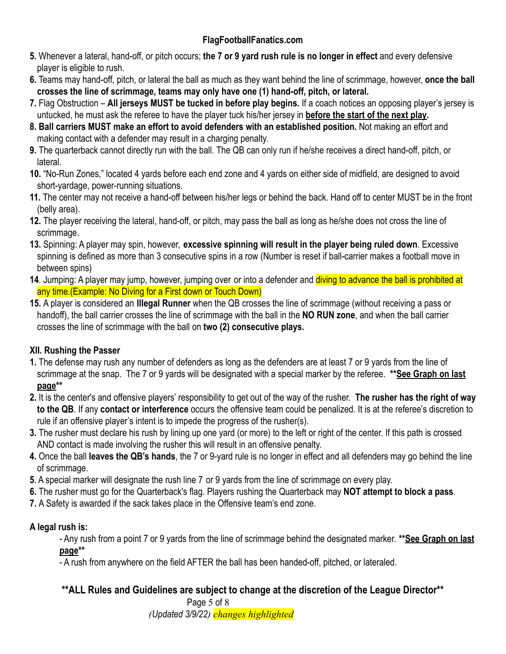- **5.** Whenever a lateral, hand-off, or pitch occurs; **the 7 or 9 yard rush rule is no longer in effect** and every defensive player is eligible to rush.
- **6.** Teams may hand-off, pitch, or lateral the ball as much as they want behind the line of scrimmage, however, **once the ball crosses the line of scrimmage, teams may only have one (1) hand-off, pitch, or lateral.**
- **7.** Flag Obstruction **All jerseys MUST be tucked in before play begins.** If a coach notices an opposing player's jersey is untucked, he must ask the referee to have the player tuck his/her jersey in **before the start of the next play.**
- **8. Ball carriers MUST make an effort to avoid defenders with an established position.** Not making an effort and making contact with a defender may result in a charging penalty.
- **9.** The quarterback cannot directly run with the ball. The QB can only run if he/she receives a direct hand-off, pitch, or lateral.
- **10.** "No-Run Zones," located 4 yards before each end zone and 4 yards on either side of midfield, are designed to avoid short-yardage, power-running situations.
- **11.** The center may not receive a hand-off between his/her legs or behind the back. Hand off to center MUST be in the front (belly area).
- **12.** The player receiving the lateral, hand-off, or pitch, may pass the ball as long as he/she does not cross the line of scrimmage.
- **13.** Spinning: A player may spin, however, **excessive spinning will result in the player being ruled down**. Excessive spinning is defined as more than 3 consecutive spins in a row (Number is reset if ball-carrier makes a football move in between spins)
- **14**. Jumping: A player may jump, however, jumping over or into a defender and diving to advance the ball is prohibited at any time.(Example: No Diving for a First down or Touch Down)
- **15.** A player is considered an **Illegal Runner** when the QB crosses the line of scrimmage (without receiving a pass or handoff), the ball carrier crosses the line of scrimmage with the ball in the **NO RUN zone**, and when the ball carrier crosses the line of scrimmage with the ball on **two (2) consecutive plays.**

### **XII. Rushing the Passer**

- **1.** The defense may rush any number of defenders as long as the defenders are at least 7 or 9 yards from the line of scrimmage at the snap. The 7 or 9 yards will be designated with a special marker by the referee. **\*\*See Graph on last page\*\***
- **2.** It is the center's and offensive players' responsibility to get out of the way of the rusher. **The rusher has the right of way to the QB**. If any **contact or interference** occurs the offensive team could be penalized. It is at the referee's discretion to rule if an offensive player's intent is to impede the progress of the rusher(s).
- **3.** The rusher must declare his rush by lining up one yard (or more) to the left or right of the center. If this path is crossed AND contact is made involving the rusher this will result in an offensive penalty.
- **4.** Once the ball **leaves the QB's hands**, the 7 or 9-yard rule is no longer in effect and all defenders may go behind the line of scrimmage.
- **5**. A special marker will designate the rush line 7 or 9 yards from the line of scrimmage on every play.
- **6.** The rusher must go for the Quarterback's flag. Players rushing the Quarterback may **NOT attempt to block a pass**.
- **7.** A Safety is awarded if the sack takes place in the Offensive team's end zone.

#### **A legal rush is:**

- Any rush from a point 7 or 9 yards from the line of scrimmage behind the designated marker. **\*\*See Graph on last page\*\***

- A rush from anywhere on the field AFTER the ball has been handed-off, pitched, or lateraled.

### **\*\*ALL Rules and Guidelines are subject to change at the discretion of the League Director\*\***

Page 5 of 8

*(Updated 3/9/22) changes highlighted*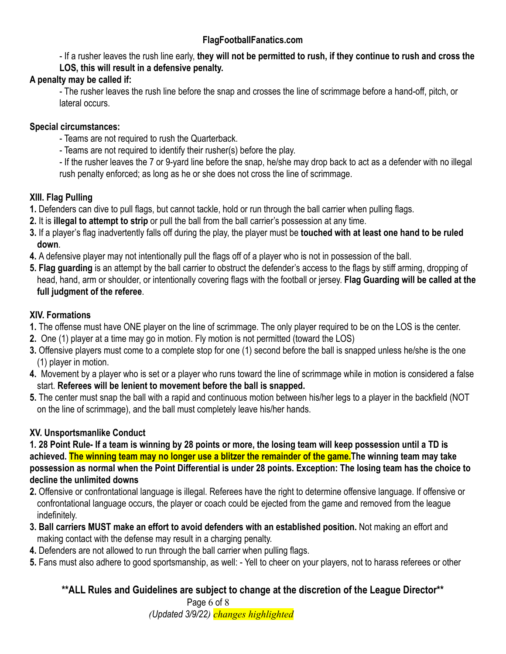- If a rusher leaves the rush line early, **they will not be permitted to rush, if they continue to rush and cross the LOS, this will result in a defensive penalty.**

#### **A penalty may be called if:**

- The rusher leaves the rush line before the snap and crosses the line of scrimmage before a hand-off, pitch, or lateral occurs.

#### **Special circumstances:**

- Teams are not required to rush the Quarterback.
- Teams are not required to identify their rusher(s) before the play.

- If the rusher leaves the 7 or 9-yard line before the snap, he/she may drop back to act as a defender with no illegal rush penalty enforced; as long as he or she does not cross the line of scrimmage.

#### **XIII. Flag Pulling**

- **1.** Defenders can dive to pull flags, but cannot tackle, hold or run through the ball carrier when pulling flags.
- **2.** It is **illegal to attempt to strip** or pull the ball from the ball carrier's possession at any time.
- **3.** If a player's flag inadvertently falls off during the play, the player must be **touched with at least one hand to be ruled down**.
- **4.** A defensive player may not intentionally pull the flags off of a player who is not in possession of the ball.
- **5. Flag guarding** is an attempt by the ball carrier to obstruct the defender's access to the flags by stiff arming, dropping of head, hand, arm or shoulder, or intentionally covering flags with the football or jersey. **Flag Guarding will be called at the full judgment of the referee**.

#### **XIV. Formations**

- **1.** The offense must have ONE player on the line of scrimmage. The only player required to be on the LOS is the center.
- **2.** One (1) player at a time may go in motion. Fly motion is not permitted (toward the LOS)
- **3.** Offensive players must come to a complete stop for one (1) second before the ball is snapped unless he/she is the one (1) player in motion.
- **4.** Movement by a player who is set or a player who runs toward the line of scrimmage while in motion is considered a false start. **Referees will be lenient to movement before the ball is snapped.**
- **5.** The center must snap the ball with a rapid and continuous motion between his/her legs to a player in the backfield (NOT on the line of scrimmage), and the ball must completely leave his/her hands.

### **XV. Unsportsmanlike Conduct**

**1***.* **28 Point Rule- If a team is winning by 28 points or more, the losing team will keep possession until a TD is achieved. The winning team may no longer use a blitzer the remainder of the game.The winning team may take possession as normal when the Point Differential is under 28 points. Exception: The losing team has the choice to decline the unlimited downs**

- **2.** Offensive or confrontational language is illegal. Referees have the right to determine offensive language. If offensive or confrontational language occurs, the player or coach could be ejected from the game and removed from the league indefinitely.
- **3. Ball carriers MUST make an effort to avoid defenders with an established position.** Not making an effort and making contact with the defense may result in a charging penalty.
- **4.** Defenders are not allowed to run through the ball carrier when pulling flags.
- **5.** Fans must also adhere to good sportsmanship, as well: Yell to cheer on your players, not to harass referees or other

### **\*\*ALL Rules and Guidelines are subject to change at the discretion of the League Director\*\***

Page 6 of 8 *(Updated 3/9/22) changes highlighted*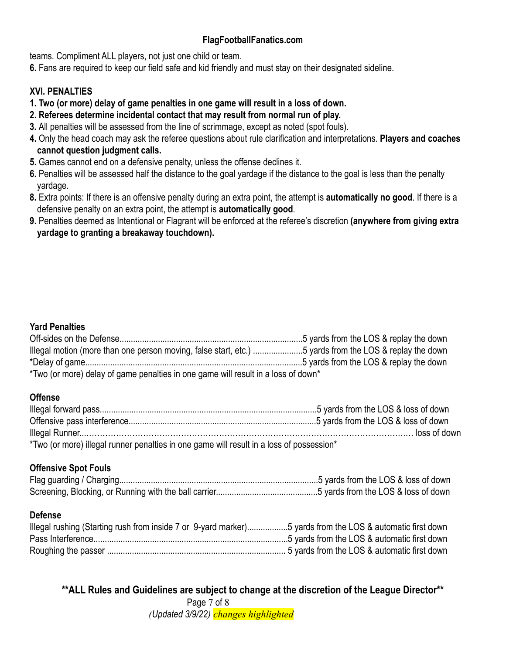teams. Compliment ALL players, not just one child or team.

**6.** Fans are required to keep our field safe and kid friendly and must stay on their designated sideline.

#### **XVI. PENALTIES**

- **1. Two (or more) delay of game penalties in one game will result in a loss of down.**
- **2. Referees determine incidental contact that may result from normal run of play.**
- **3.** All penalties will be assessed from the line of scrimmage, except as noted (spot fouls).
- **4.** Only the head coach may ask the referee questions about rule clarification and interpretations. **Players and coaches cannot question judgment calls.**
- **5.** Games cannot end on a defensive penalty, unless the offense declines it.
- **6.** Penalties will be assessed half the distance to the goal yardage if the distance to the goal is less than the penalty yardage.
- **8.** Extra points: If there is an offensive penalty during an extra point, the attempt is **automatically no good**. If there is a defensive penalty on an extra point, the attempt is **automatically good**.
- **9.** Penalties deemed as Intentional or Flagrant will be enforced at the referee's discretion **(anywhere from giving extra yardage to granting a breakaway touchdown).**

#### **Yard Penalties**

| Illegal motion (more than one person moving, false start, etc.) 5 yards from the LOS & replay the down |  |  |  |  |  |
|--------------------------------------------------------------------------------------------------------|--|--|--|--|--|
|                                                                                                        |  |  |  |  |  |
| *Two (or more) delay of game penalties in one game will result in a loss of down*                      |  |  |  |  |  |

#### **Offense**

| *Two (or more) illegal runner penalties in one game will result in a loss of possession* |  |
|------------------------------------------------------------------------------------------|--|

#### **Offensive Spot Fouls**

#### **Defense**

| Illegal rushing (Starting rush from inside 7 or 9-yard marker)5 yards from the LOS & automatic first down |  |
|-----------------------------------------------------------------------------------------------------------|--|
|                                                                                                           |  |
|                                                                                                           |  |

**\*\*ALL Rules and Guidelines are subject to change at the discretion of the League Director\*\*** Page 7 of 8

*(Updated 3/9/22) changes highlighted*